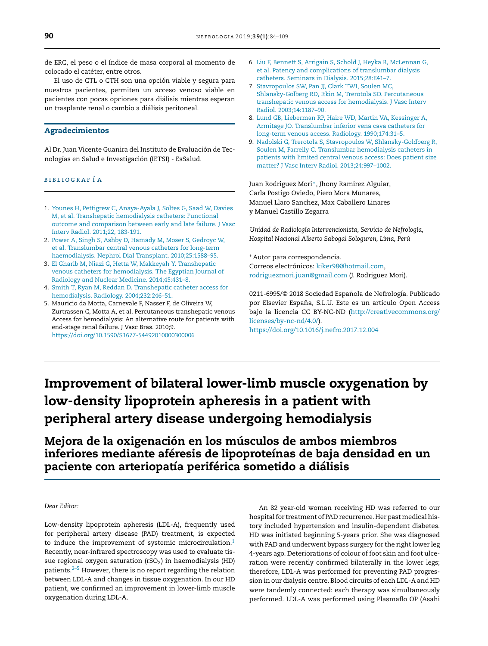de ERC, el peso o el índice de masa corporal al momento de colocado el catéter, entre otros.

El uso de CTL o CTH son una opción viable y segura para nuestros pacientes, permiten un acceso venoso viable en pacientes con pocas opciones para diálisis mientras esperan un trasplante renal o cambio a diálisis peritoneal.

### Agradecimient[os](mailto:candelamoliz@gmail.com)

Al Dr. Juan Vicente Guanira del Instituto de Evaluación de Tecnologías en Salud e Investigación (IETSI) - EsSalud.

#### B I B L I O G R A F Í A

- 1. Younes H, Pettigrew C, Anaya-Ayala J, Soltes G, Saad W, Davies M, et al. Transhepatic hemodialysis catheters: Functional outcome and comparison between early and late failure. J Vasc Interv Radiol. 2011;22, 183-191.
- 2. Power A, Singh S, Ashby D, Hamady M, Moser S, Gedroyc W, et al. Translumbar central venous catheters for long-term haemodialysis. Nephrol Dial Transplant. 2010;25:1588–95.
- 3. El Gharib M, Niazi G, Hetta W, Makkeyah Y. Transhepatic venous catheters for hemodialysis. The Egyptian Journal of Radiology and Nuclear Medicine. 2014;45:431–8.
- 4. Smith T, Ryan M, Reddan D. Transhepatic catheter access for hemodialysis. Radiology. 2004;232:246–51.
- 5. Mauricio da Motta, Carnevale F, Nasser F, de Oliveira W, Zurtrassen C, Motta A, et al. Percutaneous transhepatic venous Access for hemodialysis: An alternative route for patients with end-stage renal failure. J Vasc Bras. 2010;9. [https://doi.org/10.1590/S1677-54492010000300006](http://dx.doi.org/10.1590/S1677-54492010000300006)

- 6. Liu F, Bennett S, Arrigain S, Schold J, Heyka R, McLennan G, et al. Patency and complications of translumbar dialysis catheters. Seminars in Dialysis. [2015;28:E41–7.](http://creativecommons.org/licenses/by-nc-nd/4.0/)
- 7. Stavropoulos SW, Pan JJ, Clark TWI, Soulen MC, [Shlansky-Golberg](http://creativecommons.org/licenses/by-nc-nd/4.0/) [RD,](http://creativecommons.org/licenses/by-nc-nd/4.0/) Itkin M, Trerotola SO. Percutaneous [transhepatic](https://doi.org/10.1016/j.nefro.2018.02.005) venous access for hemodialysis. J Vasc Interv Radiol. [2003;14](http://www.revistanefrologia.com):1187–90.
- 8. Lund GB, Lieberman RP, Haire WD, [Martin](mailto:Igor9843@gmail.com) VA, Kessinger A, Armitage JO. Translumbar inferior vena cava catheters for long-term venous access. Radiology. 1990;174:31–5.
- 9. Nadolski G, Trerotola S, Stavropoulos W, Shlansky-Goldberg R, Soulen M, Farrelly C. Translumbar hemodialysis catheters in patients with limited central venous access: Does patient size matter? J Vasc Interv Radiol. [2013;24:997–1002.](http://creativecommons.org/licenses/by-nc-nd/4.0/)

Juan [Rodriguez](https://doi.org/10.1016/j.nefro.2018.05.004) Mori <sup>∗</sup> , Jhony Ramirez Alguiar, Carla Postigo Oviedo, Piero Mora Munares, Manuel Llaro Sanchez, Max Caballero Linares y Manuel Castillo Zegarra

*Unidad de Radiología Intervencionista, Servicio de Nefrología, Hospital Nacional Alberto Sabogal Sologuren, Lima, Perú*

<sup>∗</sup> Autor para correspondencia. Correos electrónicos: [kiker98@hotmail.com](mailto:kiker98@hotmail.com), [rodriguezmori.juan@gmail.com](mailto:rodriguezmori.juan@gmail.com) (J. Rodriguez Mori).

0211-6995/© 2018 Sociedad Española de Nefrología. Publicado por Elsevier España, S.L.U. Este es un artículo Open Access bajo la licencia CC BY-NC-ND ([http://creativecommons.org/](http://creativecommons.org/licenses/by-nc-nd/4.0/) [licenses/by-nc-nd/4.0/\)](http://creativecommons.org/licenses/by-nc-nd/4.0/).

<https://doi.org/10.1016/j.nefro.2017.12.004>

# Improvement of bilateral lower-limb muscle oxygenation by low-density lipoprotein apheresis in a patient with peripheral artery disease undergoing hemodialysis

Mejora de la oxigenación en los músculos de ambos miembros inferiores mediante aféresis de lipoproteínas de baja densidad en un paciente con arteriopatía periférica sometido a diálisis

*Dear Editor:*

Low-density lipoprotein apheresis (LDL-A), frequently used for peripheral artery disease (PAD) treatment, is expected to induce the improvement of systemic microcirculation.<sup>[1](#page-1-0)</sup> Recently, near-infrared spectroscopy was used to evaluate tissue regional oxygen saturation ( $rSO<sub>2</sub>$ ) in haemodialysis (HD) patients.[2–5](#page-1-0) However, there is no report regarding the relation between LDL-A and changes in tissue oxygenation. In our HD patient, we confirmed an improvement in lower-limb muscle oxygenation during LDL-A.

An 82 year-old woman receiving HD was referred to our hospital for treatment of PAD recurrence. Her past medical history included hypertension and insulin-dependent diabetes. HD was initiated beginning 5-years prior. She was diagnosed with PAD and underwent bypass surgery for the right lower leg 4-years ago. Deteriorations of colour of foot skin and foot ulceration were recently confirmed bilaterally in the lower legs; therefore, LDL-A was performed for preventing PAD progression in our dialysis centre. Blood circuits of each LDL-A and HD were tandemly connected: each therapy was simultaneously performed. LDL-A was performed using Plasmaflo OP (Asahi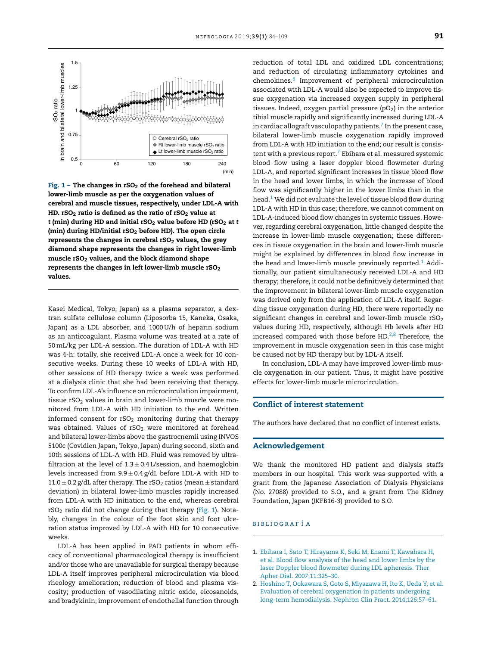<span id="page-1-0"></span>

Fig.  $1$  – The changes in rSO<sub>2</sub> of the forehead and bilateral lower-limb muscle as per the oxygenation values of cerebral and muscle tissues, respectively, under LDL-A with HD.  $rSO<sub>2</sub>$  ratio is defined as the ratio of  $rSO<sub>2</sub>$  value at *t* (min) during HD and initial rSO<sub>2</sub> value before HD (rSO<sub>2</sub> at *t* (min) during HD/initial  $rSO<sub>2</sub>$  before HD). The open circle represents the changes in cerebral  $rSO<sub>2</sub>$  values, the grey diamond shape represents the changes in right lower-limb muscle rSO<sub>2</sub> values, and the block diamond shape represents the changes in left lower-limb muscle  $rSO<sub>2</sub>$ values.

Kasei Medical, Tokyo, Japan) as a plasma separator, a dextran sulfate cellulose column (Liposorba 15, Kaneka, Osaka, Japan) as a LDL absorber, and 1000 U/h of heparin sodium as an anticoagulant. Plasma volume was treated at a rate of 50mL/kg per LDL-A session. The duration of LDL-A with HD was 4-h: totally, she received LDL-A once a week for 10 consecutive weeks. During these 10 weeks of LDL-A with HD, other sessions of HD therapy twice a week was performed at a dialysis clinic that she had been receiving that therapy. To confirm LDL-A's influence on microcirculation impairment, tissue rSO<sub>2</sub> values in brain and lower-limb muscle were monitored from LDL-A with HD initiation to the end. Written informed consent for  $rSO<sub>2</sub>$  monitoring during that therapy was obtained. Values of  $rSO<sub>2</sub>$  were monitored at forehead and bilateral lower-limbs above the gastrocnemii using INVOS 5100c (Covidien Japan, Tokyo, Japan) during second, sixth and 10th sessions of LDL-A with HD. Fluid was removed by ultrafiltration at the level of  $1.3 \pm 0.4$  L/session, and haemoglobin levels increased from  $9.9 \pm 0.4$  g/dL before LDL-A with HD to 11.0  $\pm$  0.2 g/dL after therapy. The rSO<sub>2</sub> ratios (mean  $\pm$  standard deviation) in bilateral lower-limb muscles rapidly increased from LDL-A with HD initiation to the end, whereas cerebral  $rSO<sub>2</sub>$  ratio did not change during that therapy (Fig. 1). Notably, changes in the colour of the foot skin and foot ulceration status improved by LDL-A with HD for 10 consecutive weeks.

LDL-A has been applied in PAD patients in whom efficacy of conventional pharmacological therapy is insufficient and/or those who are unavailable for surgical therapy because LDL-A itself improves peripheral microcirculation via blood rheology amelioration; reduction of blood and plasma viscosity; production of vasodilating nitric oxide, eicosanoids, and bradykinin; improvement of endothelial function through reduction of total LDL and oxidized LDL concentrations; and reduction of circulating inflammatory cytokines and chemokines.[6](#page-2-0) Improvement of peripheral microcirculation associated with LDL-A would also be expected to improve tissue oxygenation via increased oxygen supply in peripheral tissues. Indeed, oxygen partial pressure  $(pO<sub>2</sub>)$  in the anterior tibial muscle rapidly and significantly increased during LDL-A in cardiac allograft vasculopathy patients. $^7$  [In](#page-2-0) the present case, bilateral lower-limb muscle oxygenation rapidly improved from LDL-A with HD initiation to the end; our result is consistent with a previous report. $7$  [E](#page-2-0)bihara et al. measured systemic blood flow using a laser doppler blood flowmeter during LDL-A, and reported significant increases in tissue blood flow in the head and lower limbs, in which the increase of blood flow was significantly higher in the lower limbs than in the head. $1$  We did not evaluate the level of tissue blood flow during LDL-A with HD in this case; therefore, we cannot comment on LDL-A-induced blood flow changes in systemic tissues. However, regarding cerebral oxygenation, little changed despite the increase in lower-limb muscle oxygenation; these differences in tissue oxygenation in the brain and lower-limb muscle might be explained by differences in blood flow increase in the head and lower-limb muscle previously reported.<sup>1</sup> Additionally, our patient simultaneously received LDL-A and HD therapy; therefore, it could not be definitively determined that the improvement in bilateral lower-limb muscle oxygenation was derived only from the application of LDL-A itself. Regarding tissue oxygenation during HD, there were reportedly no significant changes in cerebral and lower-limb muscle  $rSO<sub>2</sub>$ values during HD, respectively, although Hb levels after HD increased compared with those before HD. $2,8$  Therefore, the improvement in muscle oxygenation seen in this case might be caused not by HD therapy but by LDL-A itself.

In conclusion, LDL-A may have improved lower-limb muscle oxygenation in our patient. Thus, it might have positive effects for lower-limb muscle microcirculation.

### Conflict of interest statement

The authors have declared that no conflict of interest exists.

#### Acknowledgement

We thank the monitored HD patient and dialysis staffs members in our hospital. This work was supported with a grant from the Japanese Association of Dialysis Physicians (No. 27088) provided to S.O., and a grant from The Kidney Foundation, Japan (JKFB16-3) provided to S.O.

#### B I B L I O G R A F Í A

- 1. Ebihara I, Sato T, Hirayama K, Seki M, Enami T, Kawahara H, et al. Blood flow analysis of the head and lower limbs by the laser Doppler blood flowmeter during LDL apheresis. Ther Apher Dial. 2007;11:325–30.
- 2. Hoshino T, Ookawara S, Goto S, Miyazawa H, Ito K, Ueda Y, et al. Evaluation of cerebral oxygenation in patients undergoing long-term hemodialysis. Nephron Clin Pract. 2014;126:57–61.